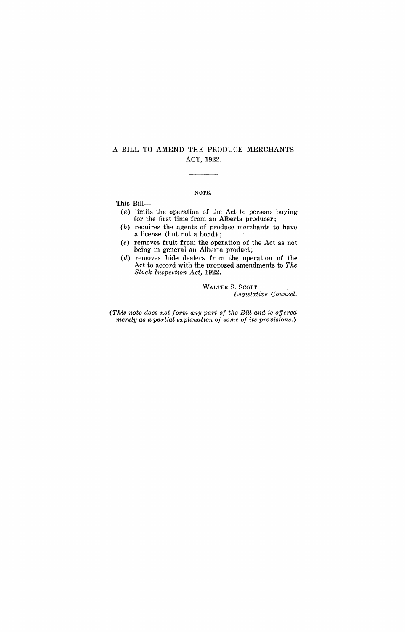#### A BILL TO AMEND THE PRODUCE MERCHANTS ACT, 1922.

NOTE.

This Bill-

- (a) limits the operation of the Act to persons buying for the first time from an Alberta producer;
- (b) requires the agents of produce merchants to have a license (but not a bond) ;
- (c) removes fruit from the operation of the Act as not ·being in general an Alberta product;
- (d) removes hide dealers from the operation of the Act to accord with the proposed amendments to *The Stock Inspection Act, 1922.*

WALTER S. SCOTT, *Legislative Counsel.* 

*(This note does not form any part of the Bill and is offered merely as a partial explanation of some of its provisions.)*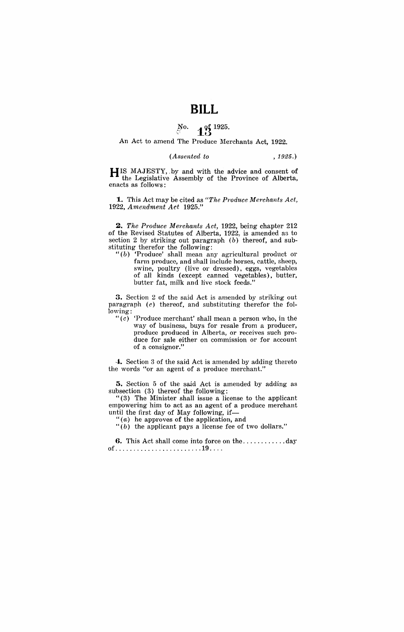## **BILL**

# $\frac{N_0}{3}$  1.925.

#### An Act to amend The Produce Merchants Act, 1922.

*(Assented to* , 1925.)

**HIS** MAJESTY, .by and with the advice and consent of the Legislative Assembly of the Province of Alberta, enacts as follows:

**1.** This Act may be cited as "The Produce Merchants Act, *1922, Amendment Act 1925."* 

**2.** *The Produce Merchants Act, 1922, being chapter 212* of the Revised Statutes of Alberta, 1922, is amended as to section 2 by striking out paragraph (b) thereof, and substituting therefor the following:

" $(b)$  'Produce' shall mean any agricultural product or farm produce, and shall include horses, cattle, sheep, swine, poultry (live or dressed), eggs, vegetables of all kinds (except canned vegetables), butter, butter fat, milk and live stock feeds."

**3.** Section 2 of the said Act is amended by striking out paragraph  $(c)$  thereof, and substituting therefor the following:<br> $\binom{a}{c}$ 

'Produce merchant' shall mean a person who, in the way of business, buys for resale from a producer, produce produced in Alberta, or receives such produce for sale either on commission or for account of a consignor."

**4.** Section 3 of the said Act is amended by adding thereto the words "or an agent of a produce merchant."

**5.** Section 5 of the said Act is amended by adding as subsection (3) thereof the following:

"(3) The Minister shall issue a license to the applicant empowering him to act as an agent of a produce merchant until the first day of May following, if-

" $(a)$  he approves of the application, and

" $(b)$  the applicant pays a license fee of two dollars."

**6.** This Act shall come into force on the ............ day of ........................ 19 ... .